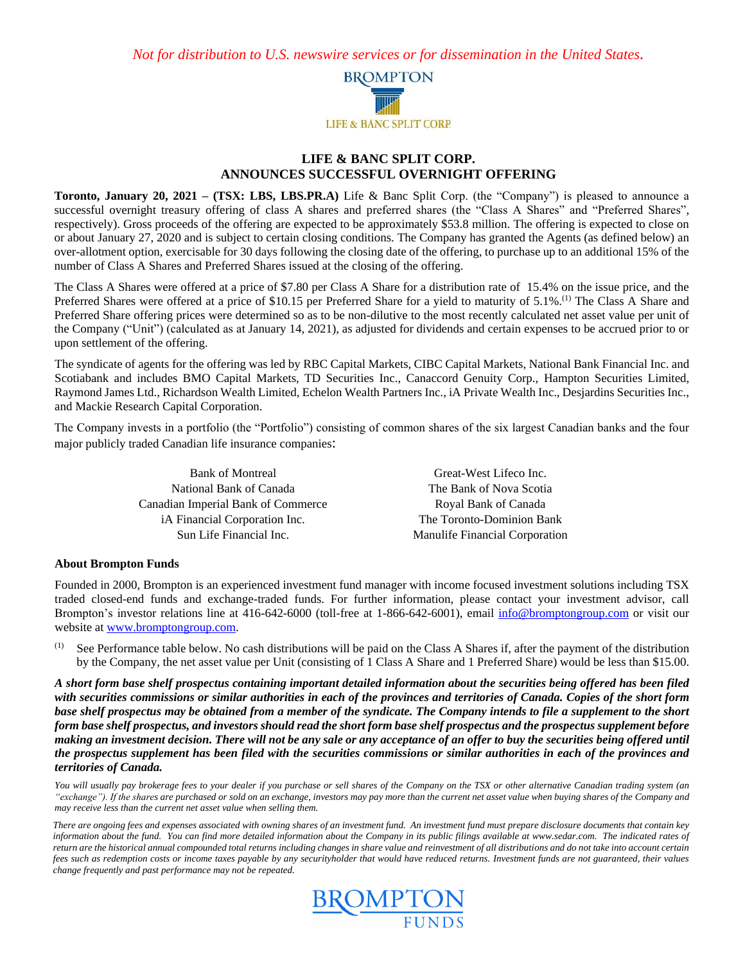*Not for distribution to U.S. newswire services or for dissemination in the United States.*



## **LIFE & BANC SPLIT CORP. ANNOUNCES SUCCESSFUL OVERNIGHT OFFERING**

**Toronto, January 20, 2021 – (TSX: LBS, LBS.PR.A)** Life & Banc Split Corp. (the "Company") is pleased to announce a successful overnight treasury offering of class A shares and preferred shares (the "Class A Shares" and "Preferred Shares", respectively). Gross proceeds of the offering are expected to be approximately \$53.8 million. The offering is expected to close on or about January 27, 2020 and is subject to certain closing conditions. The Company has granted the Agents (as defined below) an over-allotment option, exercisable for 30 days following the closing date of the offering, to purchase up to an additional 15% of the number of Class A Shares and Preferred Shares issued at the closing of the offering.

The Class A Shares were offered at a price of \$7.80 per Class A Share for a distribution rate of 15.4% on the issue price, and the Preferred Shares were offered at a price of \$10.15 per Preferred Share for a yield to maturity of 5.1%.<sup>(1)</sup> The Class A Share and Preferred Share offering prices were determined so as to be non-dilutive to the most recently calculated net asset value per unit of the Company ("Unit") (calculated as at January 14, 2021), as adjusted for dividends and certain expenses to be accrued prior to or upon settlement of the offering.

The syndicate of agents for the offering was led by RBC Capital Markets, CIBC Capital Markets, National Bank Financial Inc. and Scotiabank and includes BMO Capital Markets, TD Securities Inc., Canaccord Genuity Corp., Hampton Securities Limited, Raymond James Ltd., Richardson Wealth Limited, Echelon Wealth Partners Inc., iA Private Wealth Inc., Desjardins Securities Inc., and Mackie Research Capital Corporation.

The Company invests in a portfolio (the "Portfolio") consisting of common shares of the six largest Canadian banks and the four major publicly traded Canadian life insurance companies:

| <b>Bank of Montreal</b>            | Great-West Lifeco Inc.         |
|------------------------------------|--------------------------------|
| National Bank of Canada            | The Bank of Nova Scotia        |
| Canadian Imperial Bank of Commerce | Royal Bank of Canada           |
| iA Financial Corporation Inc.      | The Toronto-Dominion Bank      |
| Sun Life Financial Inc.            | Manulife Financial Corporation |

## **About Brompton Funds**

Founded in 2000, Brompton is an experienced investment fund manager with income focused investment solutions including TSX traded closed-end funds and exchange-traded funds. For further information, please contact your investment advisor, call Brompton's investor relations line at 416-642-6000 (toll-free at 1-866-642-6001), email [info@bromptongroup.com](mailto:info@bromptongroup.com) or visit our website at [www.bromptongroup.com.](http://www.bromptongroup.com/)

 $<sup>(1)</sup>$  See Performance table below. No cash distributions will be paid on the Class A Shares if, after the payment of the distribution</sup> by the Company, the net asset value per Unit (consisting of 1 Class A Share and 1 Preferred Share) would be less than \$15.00.

*A short form base shelf prospectus containing important detailed information about the securities being offered has been filed with securities commissions or similar authorities in each of the provinces and territories of Canada. Copies of the short form base shelf prospectus may be obtained from a member of the syndicate. The Company intends to file a supplement to the short form base shelf prospectus, and investors should read the short form base shelf prospectus and the prospectus supplement before making an investment decision. There will not be any sale or any acceptance of an offer to buy the securities being offered until the prospectus supplement has been filed with the securities commissions or similar authorities in each of the provinces and territories of Canada.*

You will usually pay brokerage fees to your dealer if you purchase or sell shares of the *Company* on the TSX or other alternative Canadian trading system (an *"exchange"). If the shares are purchased or sold on an exchange, investors may pay more than the current net asset value when buying shares of the Company and may receive less than the current net asset value when selling them.*

*There are ongoing fees and expenses associated with owning shares of an investment fund. An investment fund must prepare disclosure documents that contain key information about the fund. You can find more detailed information about the Company in its public filings available at www.sedar.com. The indicated rates of return are the historical annual compounded total returns including changes in share value and reinvestment of all distributions and do not take into account certain*  fees such as redemption costs or income taxes payable by any securityholder that would have reduced returns. Investment funds are not guaranteed, their values *change frequently and past performance may not be repeated.*